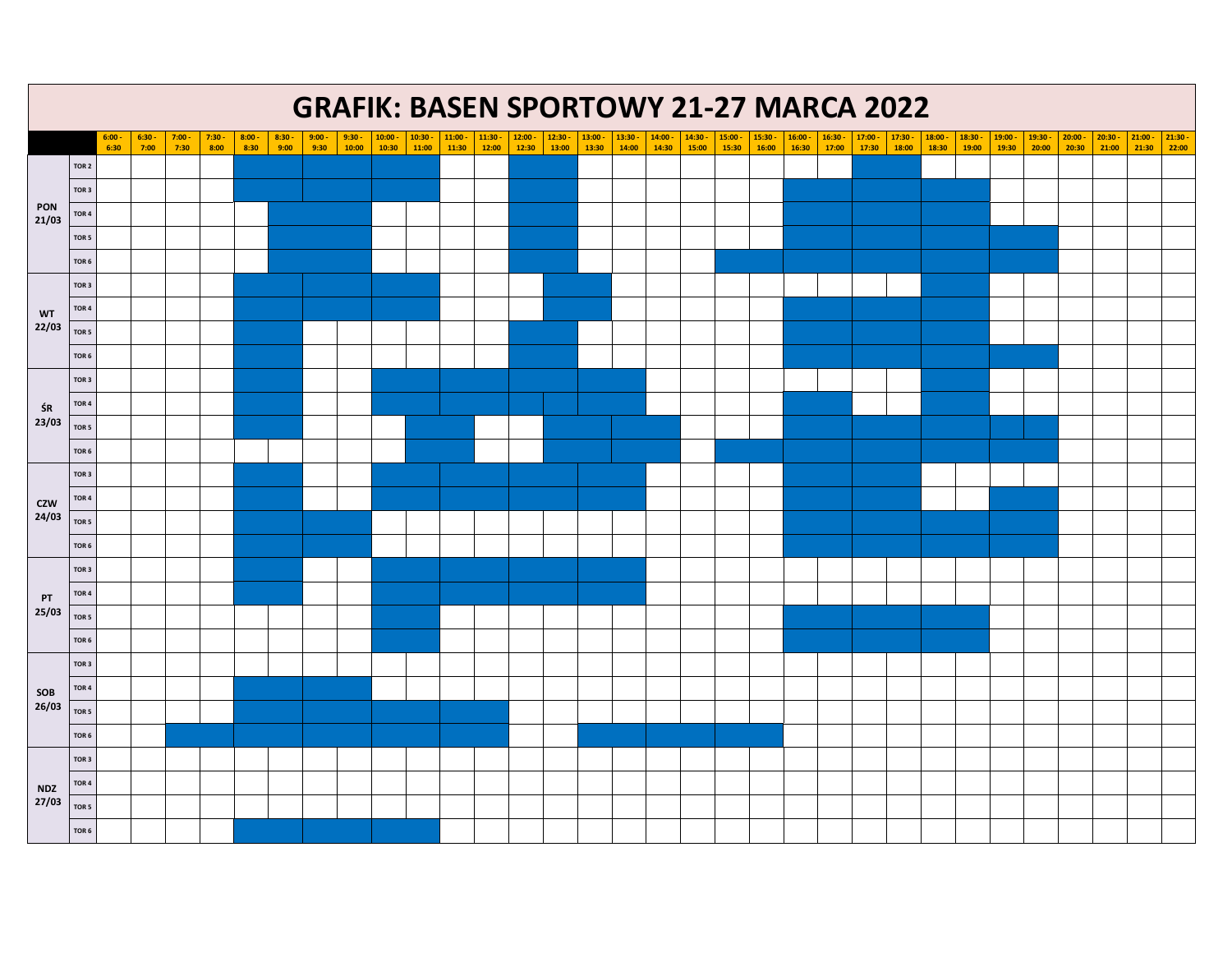